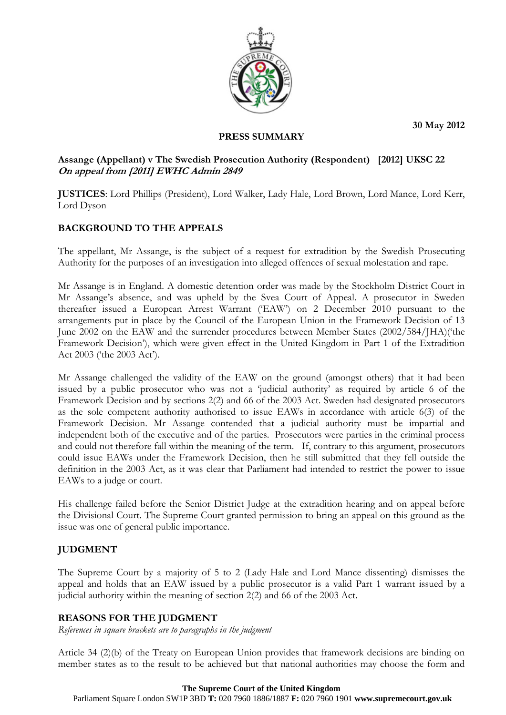**30 May 2012** 



#### **PRESS SUMMARY**

## **Assange (Appellant) v The Swedish Prosecution Authority (Respondent) [2012] UKSC 22 On appeal from [2011] EWHC Admin 2849**

**JUSTICES**: Lord Phillips (President), Lord Walker, Lady Hale, Lord Brown, Lord Mance, Lord Kerr, Lord Dyson

# **BACKGROUND TO THE APPEALS**

The appellant, Mr Assange, is the subject of a request for extradition by the Swedish Prosecuting Authority for the purposes of an investigation into alleged offences of sexual molestation and rape.

Mr Assange is in England. A domestic detention order was made by the Stockholm District Court in Mr Assange's absence, and was upheld by the Svea Court of Appeal. A prosecutor in Sweden thereafter issued a European Arrest Warrant ('EAW') on 2 December 2010 pursuant to the arrangements put in place by the Council of the European Union in the Framework Decision of 13 June 2002 on the EAW and the surrender procedures between Member States (2002/584/JHA)('the Framework Decision'), which were given effect in the United Kingdom in Part 1 of the Extradition Act 2003 ('the 2003 Act').

Mr Assange challenged the validity of the EAW on the ground (amongst others) that it had been issued by a public prosecutor who was not a 'judicial authority' as required by article 6 of the Framework Decision and by sections 2(2) and 66 of the 2003 Act. Sweden had designated prosecutors as the sole competent authority authorised to issue EAWs in accordance with article 6(3) of the Framework Decision. Mr Assange contended that a judicial authority must be impartial and independent both of the executive and of the parties. Prosecutors were parties in the criminal process and could not therefore fall within the meaning of the term. If, contrary to this argument, prosecutors could issue EAWs under the Framework Decision, then he still submitted that they fell outside the definition in the 2003 Act, as it was clear that Parliament had intended to restrict the power to issue EAWs to a judge or court.

His challenge failed before the Senior District Judge at the extradition hearing and on appeal before the Divisional Court. The Supreme Court granted permission to bring an appeal on this ground as the issue was one of general public importance.

## **JUDGMENT**

The Supreme Court by a majority of 5 to 2 (Lady Hale and Lord Mance dissenting) dismisses the appeal and holds that an EAW issued by a public prosecutor is a valid Part 1 warrant issued by a judicial authority within the meaning of section 2(2) and 66 of the 2003 Act.

## **REASONS FOR THE JUDGMENT**

*References in square brackets are to paragraphs in the judgment* 

Article 34 (2)(b) of the Treaty on European Union provides that framework decisions are binding on member states as to the result to be achieved but that national authorities may choose the form and

#### **The Supreme Court of the United Kingdom**

Parliament Square London SW1P 3BD **T:** 020 7960 1886/1887 **F:** 020 7960 1901 **www.supremecourt.gov.uk**